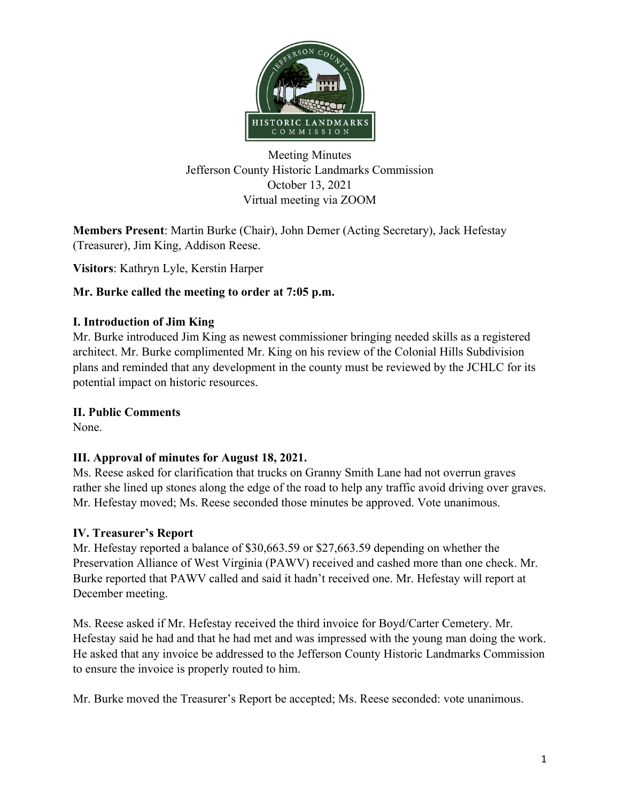

Meeting Minutes Jefferson County Historic Landmarks Commission October 13, 2021 Virtual meeting via ZOOM

**Members Present**: Martin Burke (Chair), John Demer (Acting Secretary), Jack Hefestay (Treasurer), Jim King, Addison Reese.

**Visitors**: Kathryn Lyle, Kerstin Harper

# **Mr. Burke called the meeting to order at 7:05 p.m.**

#### **I. Introduction of Jim King**

Mr. Burke introduced Jim King as newest commissioner bringing needed skills as a registered architect. Mr. Burke complimented Mr. King on his review of the Colonial Hills Subdivision plans and reminded that any development in the county must be reviewed by the JCHLC for its potential impact on historic resources.

#### **II. Public Comments**

None.

# **III. Approval of minutes for August 18, 2021.**

Ms. Reese asked for clarification that trucks on Granny Smith Lane had not overrun graves rather she lined up stones along the edge of the road to help any traffic avoid driving over graves. Mr. Hefestay moved; Ms. Reese seconded those minutes be approved. Vote unanimous.

#### **IV. Treasurer's Report**

Mr. Hefestay reported a balance of \$30,663.59 or \$27,663.59 depending on whether the Preservation Alliance of West Virginia (PAWV) received and cashed more than one check. Mr. Burke reported that PAWV called and said it hadn't received one. Mr. Hefestay will report at December meeting.

Ms. Reese asked if Mr. Hefestay received the third invoice for Boyd/Carter Cemetery. Mr. Hefestay said he had and that he had met and was impressed with the young man doing the work. He asked that any invoice be addressed to the Jefferson County Historic Landmarks Commission to ensure the invoice is properly routed to him.

Mr. Burke moved the Treasurer's Report be accepted; Ms. Reese seconded: vote unanimous.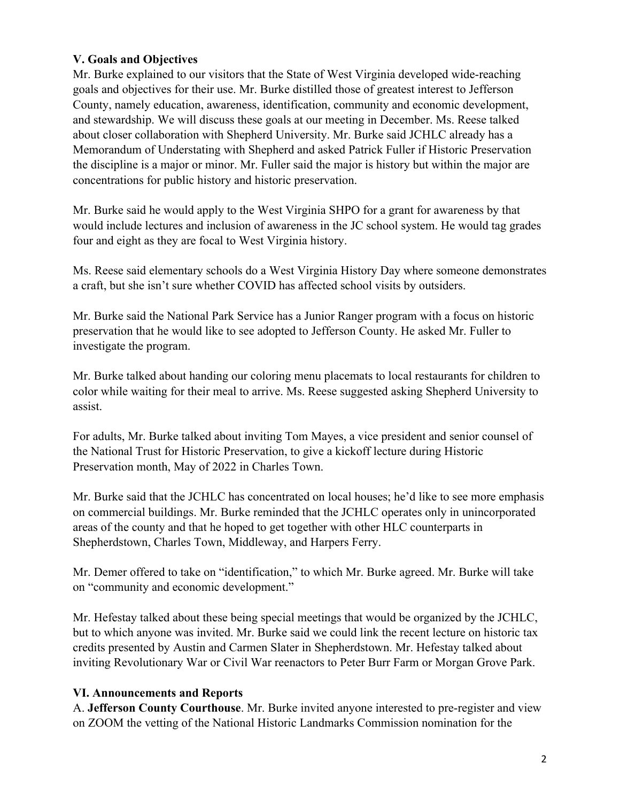### **V. Goals and Objectives**

Mr. Burke explained to our visitors that the State of West Virginia developed wide-reaching goals and objectives for their use. Mr. Burke distilled those of greatest interest to Jefferson County, namely education, awareness, identification, community and economic development, and stewardship. We will discuss these goals at our meeting in December. Ms. Reese talked about closer collaboration with Shepherd University. Mr. Burke said JCHLC already has a Memorandum of Understating with Shepherd and asked Patrick Fuller if Historic Preservation the discipline is a major or minor. Mr. Fuller said the major is history but within the major are concentrations for public history and historic preservation.

Mr. Burke said he would apply to the West Virginia SHPO for a grant for awareness by that would include lectures and inclusion of awareness in the JC school system. He would tag grades four and eight as they are focal to West Virginia history.

Ms. Reese said elementary schools do a West Virginia History Day where someone demonstrates a craft, but she isn't sure whether COVID has affected school visits by outsiders.

Mr. Burke said the National Park Service has a Junior Ranger program with a focus on historic preservation that he would like to see adopted to Jefferson County. He asked Mr. Fuller to investigate the program.

Mr. Burke talked about handing our coloring menu placemats to local restaurants for children to color while waiting for their meal to arrive. Ms. Reese suggested asking Shepherd University to assist.

For adults, Mr. Burke talked about inviting Tom Mayes, a vice president and senior counsel of the National Trust for Historic Preservation, to give a kickoff lecture during Historic Preservation month, May of 2022 in Charles Town.

Mr. Burke said that the JCHLC has concentrated on local houses; he'd like to see more emphasis on commercial buildings. Mr. Burke reminded that the JCHLC operates only in unincorporated areas of the county and that he hoped to get together with other HLC counterparts in Shepherdstown, Charles Town, Middleway, and Harpers Ferry.

Mr. Demer offered to take on "identification," to which Mr. Burke agreed. Mr. Burke will take on "community and economic development."

Mr. Hefestay talked about these being special meetings that would be organized by the JCHLC, but to which anyone was invited. Mr. Burke said we could link the recent lecture on historic tax credits presented by Austin and Carmen Slater in Shepherdstown. Mr. Hefestay talked about inviting Revolutionary War or Civil War reenactors to Peter Burr Farm or Morgan Grove Park.

#### **VI. Announcements and Reports**

A. **Jefferson County Courthouse**. Mr. Burke invited anyone interested to pre-register and view on ZOOM the vetting of the National Historic Landmarks Commission nomination for the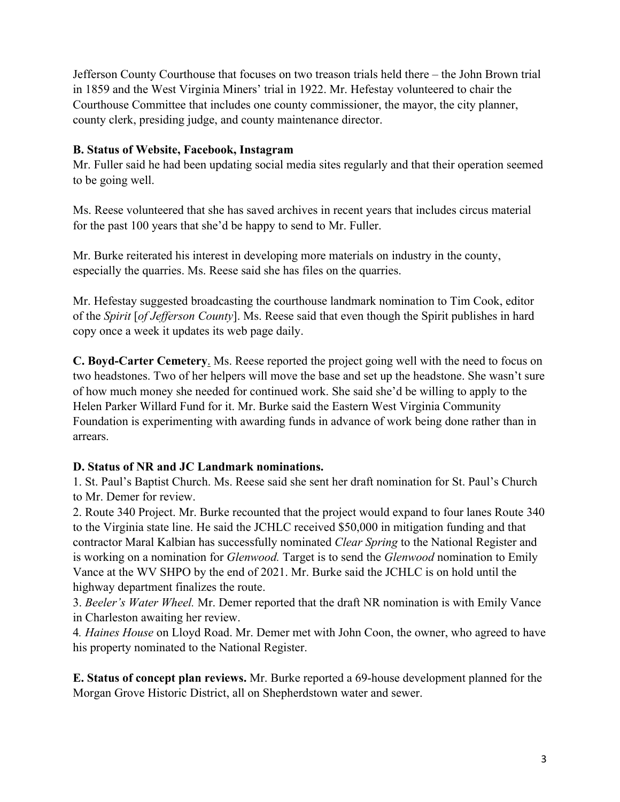Jefferson County Courthouse that focuses on two treason trials held there – the John Brown trial in 1859 and the West Virginia Miners' trial in 1922. Mr. Hefestay volunteered to chair the Courthouse Committee that includes one county commissioner, the mayor, the city planner, county clerk, presiding judge, and county maintenance director.

### **B. Status of Website, Facebook, Instagram**

Mr. Fuller said he had been updating social media sites regularly and that their operation seemed to be going well.

Ms. Reese volunteered that she has saved archives in recent years that includes circus material for the past 100 years that she'd be happy to send to Mr. Fuller.

Mr. Burke reiterated his interest in developing more materials on industry in the county, especially the quarries. Ms. Reese said she has files on the quarries.

Mr. Hefestay suggested broadcasting the courthouse landmark nomination to Tim Cook, editor of the *Spirit* [*of Jefferson County*]. Ms. Reese said that even though the Spirit publishes in hard copy once a week it updates its web page daily.

**C. Boyd-Carter Cemetery**. Ms. Reese reported the project going well with the need to focus on two headstones. Two of her helpers will move the base and set up the headstone. She wasn't sure of how much money she needed for continued work. She said she'd be willing to apply to the Helen Parker Willard Fund for it. Mr. Burke said the Eastern West Virginia Community Foundation is experimenting with awarding funds in advance of work being done rather than in arrears.

#### **D. Status of NR and JC Landmark nominations.**

1. St. Paul's Baptist Church. Ms. Reese said she sent her draft nomination for St. Paul's Church to Mr. Demer for review.

2. Route 340 Project. Mr. Burke recounted that the project would expand to four lanes Route 340 to the Virginia state line. He said the JCHLC received \$50,000 in mitigation funding and that contractor Maral Kalbian has successfully nominated *Clear Spring* to the National Register and is working on a nomination for *Glenwood.* Target is to send the *Glenwood* nomination to Emily Vance at the WV SHPO by the end of 2021. Mr. Burke said the JCHLC is on hold until the highway department finalizes the route.

3. *Beeler's Water Wheel.* Mr. Demer reported that the draft NR nomination is with Emily Vance in Charleston awaiting her review.

4*. Haines House* on Lloyd Road. Mr. Demer met with John Coon, the owner, who agreed to have his property nominated to the National Register.

**E. Status of concept plan reviews.** Mr. Burke reported a 69-house development planned for the Morgan Grove Historic District, all on Shepherdstown water and sewer.